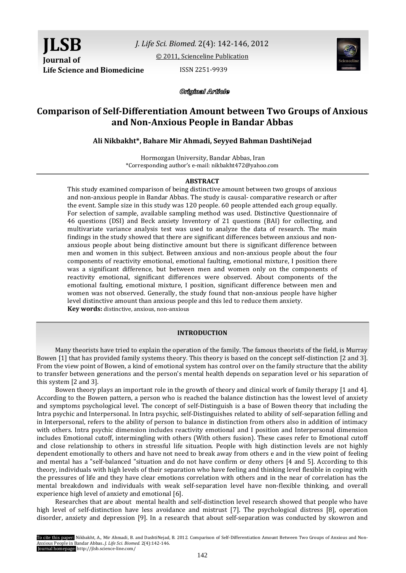**JLSB Journal of Life Science and Biomedicine ISSN 2251-9939** 

*J. Life Sci. Biomed.* 2(4): 142-146, 2012

[© 2011, Scienceline Publication](http://www.science-line.com/index/)



Original Article

# **Comparison of Self-Differentiation Amount between Two Groups of Anxious and Non-Anxious People in Bandar Abbas**

## **Ali Nikbakht\*, Bahare Mir Ahmadi, Seyyed Bahman DashtiNejad**

Hormozgan University, Bandar Abbas, Iran \*Corresponding author's e-mail: nikbakht472@yahoo.com

#### **ABSTRACT**

This study examined comparison of being distinctive amount between two groups of anxious and non-anxious people in Bandar Abbas. The study is causal- comparative research or after the event. Sample size in this study was 120 people. 60 people attended each group equally. For selection of sample, available sampling method was used. Distinctive Questionnaire of 46 questions (DSI) and Beck anxiety Inventory of 21 questions (BAI) for collecting, and multivariate variance analysis test was used to analyze the data of research. The main findings in the study showed that there are significant differences between anxious and nonanxious people about being distinctive amount but there is significant difference between men and women in this subject. Between anxious and non-anxious people about the four components of reactivity emotional, emotional faulting, emotional mixture, I position there was a significant difference, but between men and women only on the components of reactivity emotional, significant differences were observed. About components of the emotional faulting, emotional mixture, I position, significant difference between men and women was not observed. Generally, the study found that non-anxious people have higher level distinctive amount than anxious people and this led to reduce them anxiety.

**Key words:** distinctive, anxious, non-anxious

#### **INTRODUCTION**

Many theorists have tried to explain the operation of the family. The famous theorists of the field, is Murray Bowen [1] that has provided family systems theory. This theory is based on the concept self-distinction [2 and 3]. From the view point of Bowen, a kind of emotional system has control over on the family structure that the ability to transfer between generations and the person's mental health depends on separation level or his separation of this system [2 and 3].

Bowen theory plays an important role in the growth of theory and clinical work of family therapy [1 and 4]. According to the Bowen pattern, a person who is reached the balance distinction has the lowest level of anxiety and symptoms psychological level. The concept of self-Distinguish is a base of Bowen theory that including the Intra psychic and Interpersonal. In Intra psychic, self-Distinguishes related to ability of self-separation felling and in Interpersonal, refers to the ability of person to balance in distinction from others also in addition of intimacy with others. Intra psychic dimension includes reactivity emotional and I position and Interpersonal dimension includes Emotional cutoff, intermingling with others (With others fusion). These cases refer to Emotional cutoff and close relationship to others in stressful life situation. People with high distinction levels are not highly dependent emotionally to others and have not need to break away from others e and in the view point of feeling and mental has a "self-balanced "situation and do not have confirm or deny others [4 and 5]. According to this theory, individuals with high levels of their separation who have feeling and thinking level flexible in coping with the pressures of life and they have clear emotions correlation with others and in the near of correlation has the mental breakdown and individuals with weak self-separation level have non-flexible thinking, and overall experience high level of anxiety and emotional [6].

Researches that are about mental health and self-distinction level research showed that people who have high level of self-distinction have less avoidance and mistrust [7]. The psychological distress [8], operation disorder, anxiety and depression [9]. In a research that about self-separation was conducted by skowron and

To cite this paper: Nikbakht, A., Mir Ahmadi, B. and DashtiNejad, B. 2012. Comparison of Self-Differentiation Amount Between Two Groups of Anxious and Non-Anxious People in Bandar Abbas**.** *J. Life Sci. Biomed.* 2(4):142-146. Journal homepage: http://jlsb.science-line.com/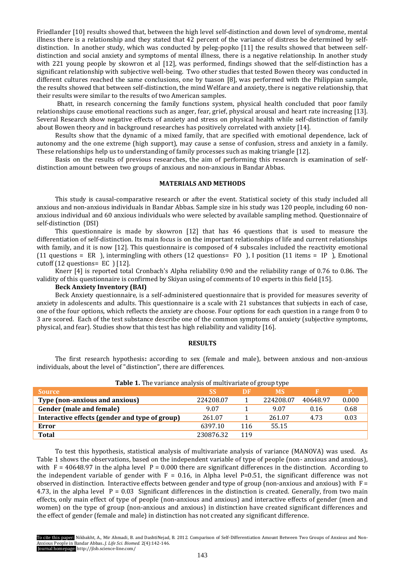Friedlander [10] results showed that, between the high level self-distinction and down level of syndrome, mental illness there is a relationship and they stated that 42 percent of the variance of distress be determined by selfdistinction. In another study, which was conducted by peleg-popko [11] the results showed that between selfdistinction and social anxiety and symptoms of mental illness, there is a negative relationship. In another study with 221 young people by skowron et al [12], was performed, findings showed that the self-distinction has a significant relationship with subjective well-being. Two other studies that tested Bowen theory was conducted in different cultures reached the same conclusions, one by tuason [8], was performed with the Philippian sample, the results showed that between self-distinction, the mind Welfare and anxiety, there is negative relationship, that their results were similar to the results of two American samples.

Bhatt, in research concerning the family functions system, physical health concluded that poor family relationships cause emotional reactions such as anger, fear, grief, physical arousal and heart rate increasing [13]. Several Research show negative effects of anxiety and stress on physical health while self-distinction of family about Bowen theory and in background researches has positively correlated with anxiety [14].

Results show that the dynamic of a mixed family, that are specified with emotional dependence, lack of autonomy and the one extreme (high support), may cause a sense of confusion, stress and anxiety in a family. These relationships help us to understanding of family processes such as making triangle [12].

Basis on the results of previous researches, the aim of performing this research is examination of selfdistinction amount between two groups of anxious and non-anxious in Bandar Abbas.

## **MATERIALS AND METHODS**

This study is causal-comparative research or after the event. Statistical society of this study included all anxious and non-anxious individuals in Bandar Abbas. Sample size in his study was 120 people, including 60 nonanxious individual and 60 anxious individuals who were selected by available sampling method. Questionnaire of self-distinction (DSI)

This questionnaire is made by skowron [12] that has 46 questions that is used to measure the differentiation of self-distinction. Its main focus is on the important relationships of life and current relationships with family, and it is now [12]. This questionnaire is composed of 4 subscales included the reactivity emotional (11 questions = ER ), intermingling with others (12 questions= FO ), I position (11 items = IP ), Emotional cutoff (12 questions= EC ) [12].

Knerr [4] is reported total Cronbach's Alpha reliability 0.90 and the reliability range of 0.76 to 0.86. The validity of this questionnaire is confirmed by Skiyan using of comments of 10 experts in this field [15].

### **Beck Anxiety Inventory (BAI)**

Beck Anxiety questionnaire, is a self-administered questionnaire that is provided for measures severity of anxiety in adolescents and adults. This questionnaire is a scale with 21 substances that subjects in each of case, one of the four options, which reflects the anxiety are choose. Four options for each question in a range from 0 to 3 are scored. Each of the test substance describe one of the common symptoms of anxiety (subjective symptoms, physical, and fear). Studies show that this test has high reliability and validity [16].

#### **RESULTS**

The first research hypothesis**:** according to sex (female and male), between anxious and non-anxious individuals, about the level of "distinction", there are differences.

| <b>Table 1.</b> The variance analysis of multivariate of group type |           |     |           |          |       |  |
|---------------------------------------------------------------------|-----------|-----|-----------|----------|-------|--|
| <b>Source</b>                                                       | <b>SS</b> | DF  | <b>MS</b> |          |       |  |
| Type (non-anxious and anxious)                                      | 224208.07 |     | 224208.07 | 40648.97 | 0.000 |  |
| Gender (male and female)                                            | 9.07      |     | 9.07      | 0.16     | 0.68  |  |
| Interactive effects (gender and type of group)                      | 261.07    |     | 261.07    | 4.73     | 0.03  |  |
| Error                                                               | 6397.10   | 116 | 55.15     |          |       |  |
| <b>Total</b>                                                        | 230876.32 | 119 |           |          |       |  |

**Table 1.** The variance analysis of multivariate of group type

To test this hypothesis, statistical analysis of multivariate analysis of variance (MANOVA) was used. As Table 1 shows the observations, based on the independent variable of type of people (non- anxious and anxious), with  $F = 40648.97$  in the alpha level  $P = 0.000$  there are significant differences in the distinction. According to the independent variable of gender with  $F = 0.16$ , in Alpha level P=0.51, the significant difference was not observed in distinction. Interactive effects between gender and type of group (non-anxious and anxious) with  $F =$ 4.73, in the alpha level  $P = 0.03$  Significant differences in the distinction is created. Generally, from two main effects, only main effect of type of people (non-anxious and anxious) and interactive effects of gender (men and women) on the type of group (non-anxious and anxious) in distinction have created significant differences and the effect of gender (female and male) in distinction has not created any significant difference.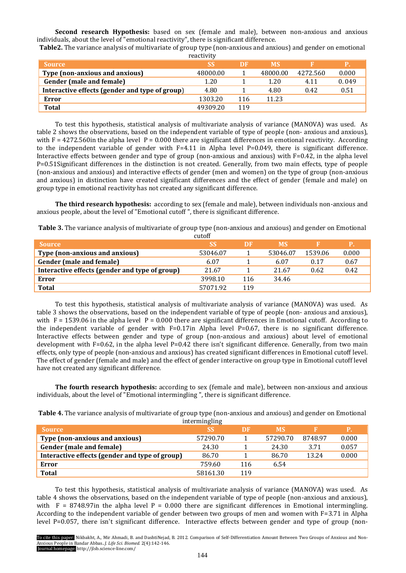**Second research Hypothesis:** based on sex (female and male), between non-anxious and anxious individuals, about the level of "emotional reactivity", there is significant difference.

**Table2.** The variance analysis of multivariate of group type (non-anxious and anxious) and gender on emotional reactivity

| <b>Source</b>                                  | <b>SS</b> | DF  | <b>MS</b> |          | Р.    |
|------------------------------------------------|-----------|-----|-----------|----------|-------|
| <b>Type (non-anxious and anxious)</b>          | 48000.00  |     | 48000.00  | 4272.560 | 0.000 |
| Gender (male and female)                       | 1.20      |     | 1.20      | 4.11     | 0.049 |
| Interactive effects (gender and type of group) | 4.80      |     | 4.80      | 0.42     | 0.51  |
| Error                                          | 1303.20   | 116 | 11.23     |          |       |
| <b>Total</b>                                   | 49309.20  | 119 |           |          |       |

To test this hypothesis, statistical analysis of multivariate analysis of variance (MANOVA) was used. As table 2 shows the observations, based on the independent variable of type of people (non- anxious and anxious), with  $F = 4272.560$  in the alpha level  $P = 0.000$  there are significant differences in emotional reactivity. According to the independent variable of gender with  $F=4.11$  in Alpha level P=0.049, there is significant difference. Interactive effects between gender and type of group (non-anxious and anxious) with F=0.42, in the alpha level P=0.51Significant differences in the distinction is not created. Generally, from two main effects, type of people (non-anxious and anxious) and interactive effects of gender (men and women) on the type of group (non-anxious and anxious) in distinction have created significant differences and the effect of gender (female and male) on group type in emotional reactivity has not created any significant difference.

**The third research hypothesis:** according to sex (female and male), between individuals non-anxious and anxious people, about the level of "Emotional cutoff ", there is significant difference.

**Table 3.** The variance analysis of multivariate of group type (non-anxious and anxious) and gender on Emotional

|                                                | cutoff    |     |           |         |       |
|------------------------------------------------|-----------|-----|-----------|---------|-------|
| <b>Source</b>                                  | <b>SS</b> | DF  | <b>MS</b> |         | Р.    |
| Type (non-anxious and anxious)                 | 53046.07  |     | 53046.07  | 1539.06 | 0.000 |
| Gender (male and female)                       | 6.07      |     | 6.07      | 0.17    | 0.67  |
| Interactive effects (gender and type of group) | 21.67     |     | 21.67     | 0.62    | 0.42  |
| Error                                          | 3998.10   | 116 | 34.46     |         |       |
| <b>Total</b>                                   | 57071.92  | 119 |           |         |       |

To test this hypothesis, statistical analysis of multivariate analysis of variance (MANOVA) was used. As table 3 shows the observations, based on the independent variable of type of people (non- anxious and anxious), with  $F = 1539.06$  in the alpha level  $P = 0.000$  there are significant differences in Emotional cutoff. According to the independent variable of gender with  $F=0.17$ in Alpha level P=0.67, there is no significant difference. Interactive effects between gender and type of group (non-anxious and anxious) about level of emotional development with F=0.62, in the alpha level P=0.42 there isn't significant difference. Generally, from two main effects, only type of people (non-anxious and anxious) has created significant differences in Emotional cutoff level. The effect of gender (female and male) and the effect of gender interactive on group type in Emotional cutoff level have not created any significant difference.

**The fourth research hypothesis:** according to sex (female and male), between non-anxious and anxious individuals, about the level of "Emotional intermingling ", there is significant difference.

| Table 4. The variance analysis of multivariate of group type (non-anxious and anxious) and gender on Emotional |
|----------------------------------------------------------------------------------------------------------------|
| intermingling                                                                                                  |

|                                                | $\frac{1}{2}$ |     |           |         |           |
|------------------------------------------------|---------------|-----|-----------|---------|-----------|
| <b>Source</b>                                  | <b>SS</b>     | DF. | <b>MS</b> |         | <b>P.</b> |
| Type (non-anxious and anxious)                 | 57290.70      |     | 57290.70  | 8748.97 | 0.000     |
| Gender (male and female)                       | 24.30         |     | 24.30     | 3.71    | 0.057     |
| Interactive effects (gender and type of group) | 86.70         |     | 86.70     | 13.24   | 0.000     |
| Error                                          | 759.60        | 116 | 6.54      |         |           |
| <b>Total</b>                                   | 58161.30      | 119 |           |         |           |

To test this hypothesis, statistical analysis of multivariate analysis of variance (MANOVA) was used. As table 4 shows the observations, based on the independent variable of type of people (non-anxious and anxious), with  $F = 8748.97$  in the alpha level  $P = 0.000$  there are significant differences in Emotional intermingling. According to the independent variable of gender between two groups of men and women with F=3.71 in Alpha level P=0.057, there isn't significant difference. Interactive effects between gender and type of group (non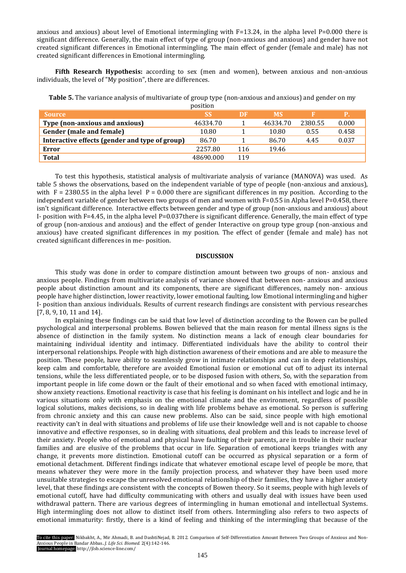anxious and anxious) about level of Emotional intermingling with F=13.24, in the alpha level P=0.000 there is significant difference. Generally, the main effect of type of group (non-anxious and anxious) and gender have not created significant differences in Emotional intermingling. The main effect of gender (female and male) has not created significant differences in Emotional intermingling.

**Fifth Research Hypothesis:** according to sex (men and women), between anxious and non-anxious individuals, the level of "My position", there are differences.

|                                                | position  |     |           |         |           |
|------------------------------------------------|-----------|-----|-----------|---------|-----------|
| <b>Source</b>                                  | <b>SS</b> | DF  | <b>MS</b> |         | <b>P.</b> |
| Type (non-anxious and anxious)                 | 46334.70  |     | 46334.70  | 2380.55 | 0.000     |
| Gender (male and female)                       | 10.80     |     | 10.80     | 0.55    | 0.458     |
| Interactive effects (gender and type of group) | 86.70     |     | 86.70     | 4.45    | 0.037     |
| Error                                          | 2257.80   | 116 | 19.46     |         |           |
| <b>Total</b>                                   | 48690.000 | 119 |           |         |           |

**Table 5.** The variance analysis of multivariate of group type (non-anxious and anxious) and gender on my

To test this hypothesis, statistical analysis of multivariate analysis of variance (MANOVA) was used. As table 5 shows the observations, based on the independent variable of type of people (non-anxious and anxious), with  $F = 2380.55$  in the alpha level  $P = 0.000$  there are significant differences in my position. According to the independent variable of gender between two groups of men and women with  $F=0.55$  in Alpha level P=0.458, there isn't significant difference. Interactive effects between gender and type of group (non-anxious and anxious) about I- position with  $F=4.45$ , in the alpha level P=0.037 there is significant difference. Generally, the main effect of type of group (non-anxious and anxious) and the effect of gender Interactive on group type group (non-anxious and anxious) have created significant differences in my position. The effect of gender (female and male) has not created significant differences in me- position.

# **DISCUSSION**

This study was done in order to compare distinction amount between two groups of non- anxious and anxious people. Findings from multivariate analysis of variance showed that between non- anxious and anxious people about distinction amount and its components, there are significant differences, namely non- anxious people have higher distinction, lower reactivity, lower emotional faulting, low Emotional intermingling and higher I- position than anxious individuals. Results of current research findings are consistent with pervious researches [7, 8, 9, 10, 11 and 14].

In explaining these findings can be said that low level of distinction according to the Bowen can be pulled psychological and interpersonal problems. Bowen believed that the main reason for mental illness signs is the absence of distinction in the family system. No distinction means a lack of enough clear boundaries for maintaining individual identity and intimacy. Differentiated individuals have the ability to control their interpersonal relationships. People with high distinction awareness of their emotions and are able to measure the position. These people, have ability to seamlessly grow in intimate relationships and can in deep relationships, keep calm and comfortable, therefore are avoided Emotional fusion or emotional cut off to adjust its internal tensions, while the less differentiated people, or to be disposed fusion with others, So, with the separation from important people in life come down or the fault of their emotional and so when faced with emotional intimacy, show anxiety reactions. Emotional reactivity is case that his feeling is dominant on his intellect and logic and he in various situations only with emphasis on the emotional climate and the environment, regardless of possible logical solutions, makes decisions, so in dealing with life problems behave as emotional. So person is suffering from chronic anxiety and this can cause new problems. Also can be said, since people with high emotional reactivity can't in deal with situations and problems of life use their knowledge well and is not capable to choose innovative and effective responses, so in dealing with situations, deal problem and this leads to increase level of their anxiety. People who of emotional and physical have faulting of their parents, are in trouble in their nuclear families and are elusive of the problems that occur in life. Separation of emotional keeps triangles with any change, it prevents more distinction. Emotional cutoff can be occurred as physical separation or a form of emotional detachment. Different findings indicate that whatever emotional escape level of people be more, that means whatever they were more in the family projection process, and whatever they have been used more unsuitable strategies to escape the unresolved emotional relationship of their families, they have a higher anxiety level, that these findings are consistent with the concepts of Bowen theory. So it seems, people with high levels of emotional cutoff, have had difficulty communicating with others and usually deal with issues have been used withdrawal pattern. There are various degrees of intermingling in human emotional and intellectual Systems. High intermingling does not allow to distinct itself from others. Intermingling also refers to two aspects of emotional immaturity: firstly, there is a kind of feeling and thinking of the intermingling that because of the